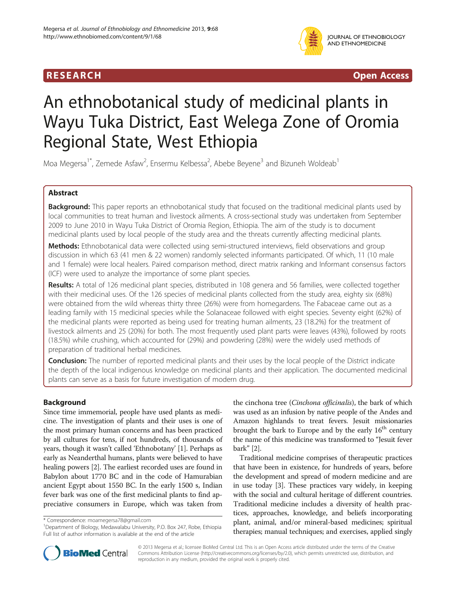## R E S EAR CH Open Access



# An ethnobotanical study of medicinal plants in Wayu Tuka District, East Welega Zone of Oromia Regional State, West Ethiopia

Moa Megersa<sup>1\*</sup>, Zemede Asfaw<sup>2</sup>, Ensermu Kelbessa<sup>2</sup>, Abebe Beyene<sup>3</sup> and Bizuneh Woldeab<sup>1</sup>

## Abstract

Background: This paper reports an ethnobotanical study that focused on the traditional medicinal plants used by local communities to treat human and livestock ailments. A cross-sectional study was undertaken from September 2009 to June 2010 in Wayu Tuka District of Oromia Region, Ethiopia. The aim of the study is to document medicinal plants used by local people of the study area and the threats currently affecting medicinal plants.

Methods: Ethnobotanical data were collected using semi-structured interviews, field observations and group discussion in which 63 (41 men & 22 women) randomly selected informants participated. Of which, 11 (10 male and 1 female) were local healers. Paired comparison method, direct matrix ranking and Informant consensus factors (ICF) were used to analyze the importance of some plant species.

Results: A total of 126 medicinal plant species, distributed in 108 genera and 56 families, were collected together with their medicinal uses. Of the 126 species of medicinal plants collected from the study area, eighty six (68%) were obtained from the wild whereas thirty three (26%) were from homegardens. The Fabaceae came out as a leading family with 15 medicinal species while the Solanaceae followed with eight species. Seventy eight (62%) of the medicinal plants were reported as being used for treating human ailments, 23 (18.2%) for the treatment of livestock ailments and 25 (20%) for both. The most frequently used plant parts were leaves (43%), followed by roots (18.5%) while crushing, which accounted for (29%) and powdering (28%) were the widely used methods of preparation of traditional herbal medicines.

**Conclusion:** The number of reported medicinal plants and their uses by the local people of the District indicate the depth of the local indigenous knowledge on medicinal plants and their application. The documented medicinal plants can serve as a basis for future investigation of modern drug.

## Background

Since time immemorial, people have used plants as medicine. The investigation of plants and their uses is one of the most primary human concerns and has been practiced by all cultures for tens, if not hundreds, of thousands of years, though it wasn't called 'Ethnobotany' [\[1](#page-16-0)]. Perhaps as early as Neanderthal humans, plants were believed to have healing powers [\[2](#page-16-0)]. The earliest recorded uses are found in Babylon about 1770 BC and in the code of Hamurabian ancient Egypt about 1550 BC. In the early 1500 s, Indian fever bark was one of the first medicinal plants to find appreciative consumers in Europe, which was taken from

the cinchona tree (Cinchona officinalis), the bark of which was used as an infusion by native people of the Andes and Amazon highlands to treat fevers. Jesuit missionaries brought the bark to Europe and by the early  $16<sup>th</sup>$  century the name of this medicine was transformed to "Jesuit fever bark" [[2](#page-16-0)].

Traditional medicine comprises of therapeutic practices that have been in existence, for hundreds of years, before the development and spread of modern medicine and are in use today [[3](#page-16-0)]. These practices vary widely, in keeping with the social and cultural heritage of different countries. Traditional medicine includes a diversity of health practices, approaches, knowledge, and beliefs incorporating plant, animal, and/or mineral-based medicines; spiritual therapies; manual techniques; and exercises, applied singly



© 2013 Megersa et al.; licensee BioMed Central Ltd. This is an Open Access article distributed under the terms of the Creative Commons Attribution License [\(http://creativecommons.org/licenses/by/2.0\)](http://creativecommons.org/licenses/by/2.0), which permits unrestricted use, distribution, and reproduction in any medium, provided the original work is properly cited.

<sup>\*</sup> Correspondence: [moamegersa78@gmail.com](mailto:moamegersa78@gmail.com) <sup>1</sup>

<sup>&</sup>lt;sup>1</sup>Department of Biology, Medawalabu University, P.O. Box 247, Robe, Ethiopia Full list of author information is available at the end of the article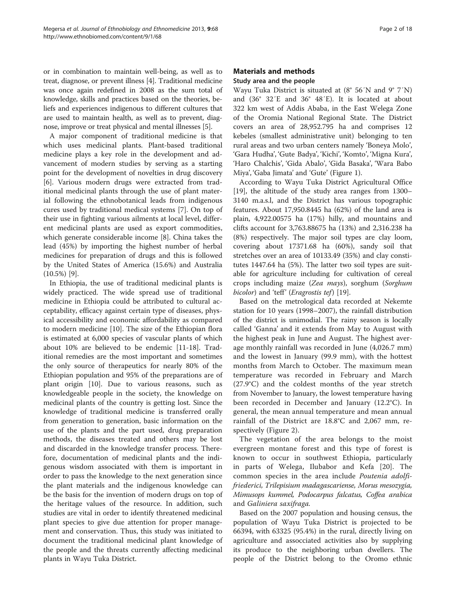or in combination to maintain well-being, as well as to treat, diagnose, or prevent illness [\[4](#page-16-0)]. Traditional medicine was once again redefined in 2008 as the sum total of knowledge, skills and practices based on the theories, beliefs and experiences indigenous to different cultures that are used to maintain health, as well as to prevent, diagnose, improve or treat physical and mental illnesses [[5](#page-16-0)].

A major component of traditional medicine is that which uses medicinal plants. Plant-based traditional medicine plays a key role in the development and advancement of modern studies by serving as a starting point for the development of novelties in drug discovery [[6\]](#page-16-0). Various modern drugs were extracted from traditional medicinal plants through the use of plant material following the ethnobotanical leads from indigenous cures used by traditional medical systems [[7](#page-16-0)]. On top of their use in fighting various ailments at local level, different medicinal plants are used as export commodities, which generate considerable income [[8\]](#page-16-0). China takes the lead (45%) by importing the highest number of herbal medicines for preparation of drugs and this is followed by the United States of America (15.6%) and Australia (10.5%) [[9\]](#page-16-0).

In Ethiopia, the use of traditional medicinal plants is widely practiced. The wide spread use of traditional medicine in Ethiopia could be attributed to cultural acceptability, efficacy against certain type of diseases, physical accessibility and economic affordability as compared to modern medicine [[10](#page-16-0)]. The size of the Ethiopian flora is estimated at 6,000 species of vascular plants of which about 10% are believed to be endemic [\[11](#page-16-0)-[18\]](#page-16-0). Traditional remedies are the most important and sometimes the only source of therapeutics for nearly 80% of the Ethiopian population and 95% of the preparations are of plant origin [[10\]](#page-16-0). Due to various reasons, such as knowledgeable people in the society, the knowledge on medicinal plants of the country is getting lost. Since the knowledge of traditional medicine is transferred orally from generation to generation, basic information on the use of the plants and the part used, drug preparation methods, the diseases treated and others may be lost and discarded in the knowledge transfer process. Therefore, documentation of medicinal plants and the indigenous wisdom associated with them is important in order to pass the knowledge to the next generation since the plant materials and the indigenous knowledge can be the basis for the invention of modern drugs on top of the heritage values of the resource. In addition, such studies are vital in order to identify threatened medicinal plant species to give due attention for proper management and conservation. Thus, this study was initiated to document the traditional medicinal plant knowledge of the people and the threats currently affecting medicinal plants in Wayu Tuka District.

### Materials and methods Study area and the people

Wayu Tuka District is situated at (8° 56′N and 9° 7′N) and (36° 32′E and 36° 48′E). It is located at about 322 km west of Addis Ababa, in the East Welega Zone of the Oromia National Regional State. The District covers an area of 28,952.795 ha and comprises 12 kebeles (smallest administrative unit) belonging to ten rural areas and two urban centers namely 'Boneya Molo', 'Gara Hudha', 'Gute Badya', 'Kichi', 'Komto', 'Migna Kura', 'Haro Chalchis', 'Gida Abalo', 'Gida Basaka', 'Wara Babo Miya', 'Gaba Jimata' and 'Gute' (Figure [1\)](#page-2-0).

According to Wayu Tuka District Agricultural Office [[19\]](#page-16-0), the altitude of the study area ranges from 1300– 3140 m.a.s.l, and the District has various topographic features. About 17,950.8445 ha (62%) of the land area is plain, 4,922.00575 ha (17%) hilly, and mountains and clifts account for 3,763.88675 ha (13%) and 2,316.238 ha (8%) respectively. The major soil types are clay loom, covering about 17371.68 ha (60%), sandy soil that stretches over an area of 10133.49 (35%) and clay constitutes 1447.64 ha (5%). The latter two soil types are suitable for agriculture including for cultivation of cereal crops including maize (Zea mays), sorghum (Sorghum bicolor) and 'teff' (Eragrostis tef) [\[19\]](#page-16-0).

Based on the metrological data recorded at Nekemte station for 10 years (1998–2007), the rainfall distribution of the district is unimodial. The rainy season is locally called 'Ganna' and it extends from May to August with the highest peak in June and August. The highest average monthly rainfall was recorded in June (4,026.7 mm) and the lowest in January (99.9 mm), with the hottest months from March to October. The maximum mean temperature was recorded in February and March (27.9°C) and the coldest months of the year stretch from November to January, the lowest temperature having been recorded in December and January (12.2°C). In general, the mean annual temperature and mean annual rainfall of the District are 18.8°C and 2,067 mm, respectively (Figure [2\)](#page-3-0).

The vegetation of the area belongs to the moist evergreen montane forest and this type of forest is known to occur in southwest Ethiopia, particularly in parts of Welega, Ilubabor and Kefa [\[20](#page-16-0)]. The common species in the area include Poutenia adolfifriederici, Trilepisium madagascariense, Morus mesozygia, Mimusops kummel, Podocarpus falcatus, Coffea arabica and Galiniera saxifraga.

Based on the 2007 population and housing census, the population of Wayu Tuka District is projected to be 66394, with 63325 (95.4%) in the rural, directly living on agriculture and assocciated activities also by supplying its produce to the neighboring urban dwellers. The people of the District belong to the Oromo ethnic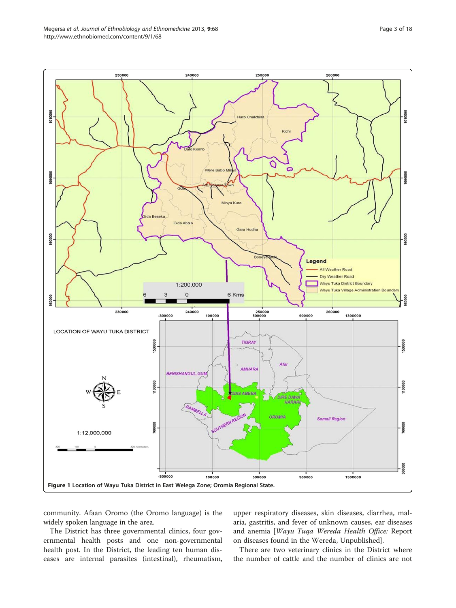<span id="page-2-0"></span>

community. Afaan Oromo (the Oromo language) is the widely spoken language in the area.

The District has three governmental clinics, four governmental health posts and one non-governmental health post. In the District, the leading ten human diseases are internal parasites (intestinal), rheumatism,

upper respiratory diseases, skin diseases, diarrhea, malaria, gastritis, and fever of unknown causes, ear diseases and anemia [Wayu Tuqa Wereda Health Office: Report on diseases found in the Wereda, Unpublished].

There are two veterinary clinics in the District where the number of cattle and the number of clinics are not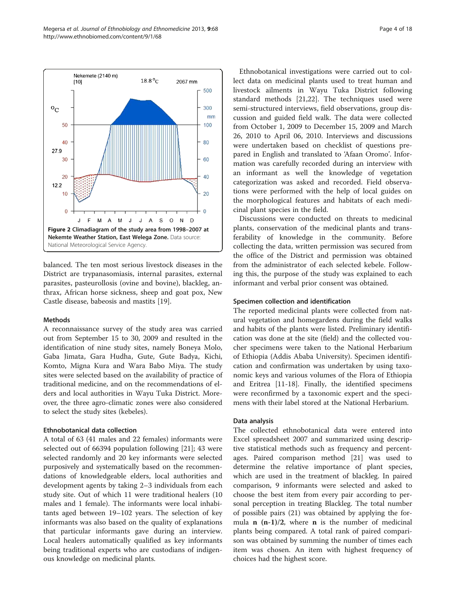<span id="page-3-0"></span>

balanced. The ten most serious livestock diseases in the District are trypanasomiasis, internal parasites, external parasites, pasteurollosis (ovine and bovine), blackleg, anthrax, African horse sickness, sheep and goat pox, New Castle disease, babeosis and mastits [[19\]](#page-16-0).

#### Methods

A reconnaissance survey of the study area was carried out from September 15 to 30, 2009 and resulted in the identification of nine study sites, namely Boneya Molo, Gaba Jimata, Gara Hudha, Gute, Gute Badya, Kichi, Komto, Migna Kura and Wara Babo Miya. The study sites were selected based on the availability of practice of traditional medicine, and on the recommendations of elders and local authorities in Wayu Tuka District. Moreover, the three agro-climatic zones were also considered to select the study sites (kebeles).

### Ethnobotanical data collection

A total of 63 (41 males and 22 females) informants were selected out of 66394 population following [[21\]](#page-16-0); 43 were selected randomly and 20 key informants were selected purposively and systematically based on the recommendations of knowledgeable elders, local authorities and development agents by taking 2–3 individuals from each study site. Out of which 11 were traditional healers (10 males and 1 female). The informants were local inhabitants aged between 19–102 years. The selection of key informants was also based on the quality of explanations that particular informants gave during an interview. Local healers automatically qualified as key informants being traditional experts who are custodians of indigenous knowledge on medicinal plants.

Ethnobotanical investigations were carried out to collect data on medicinal plants used to treat human and livestock ailments in Wayu Tuka District following standard methods [[21,22\]](#page-16-0). The techniques used were semi-structured interviews, field observations, group discussion and guided field walk. The data were collected from October 1, 2009 to December 15, 2009 and March 26, 2010 to April 06, 2010. Interviews and discussions were undertaken based on checklist of questions prepared in English and translated to 'Afaan Oromo'. Information was carefully recorded during an interview with an informant as well the knowledge of vegetation categorization was asked and recorded. Field observations were performed with the help of local guides on the morphological features and habitats of each medicinal plant species in the field.

Discussions were conducted on threats to medicinal plants, conservation of the medicinal plants and transferability of knowledge in the community. Before collecting the data, written permission was secured from the office of the District and permission was obtained from the administrator of each selected kebele. Following this, the purpose of the study was explained to each informant and verbal prior consent was obtained.

#### Specimen collection and identification

The reported medicinal plants were collected from natural vegetation and homegardens during the field walks and habits of the plants were listed. Preliminary identification was done at the site (field) and the collected voucher specimens were taken to the National Herbarium of Ethiopia (Addis Ababa University). Specimen identification and confirmation was undertaken by using taxonomic keys and various volumes of the Flora of Ethiopia and Eritrea [[11-18\]](#page-16-0). Finally, the identified specimens were reconfirmed by a taxonomic expert and the specimens with their label stored at the National Herbarium.

#### Data analysis

The collected ethnobotanical data were entered into Excel spreadsheet 2007 and summarized using descriptive statistical methods such as frequency and percentages. Paired comparison method [[21](#page-16-0)] was used to determine the relative importance of plant species, which are used in the treatment of blackleg. In paired comparison, 9 informants were selected and asked to choose the best item from every pair according to personal perception in treating Blackleg. The total number of possible pairs (21) was obtained by applying the formula **n**  $(n-1)/2$ , where **n** is the number of medicinal plants being compared. A total rank of paired comparison was obtained by summing the number of times each item was chosen. An item with highest frequency of choices had the highest score.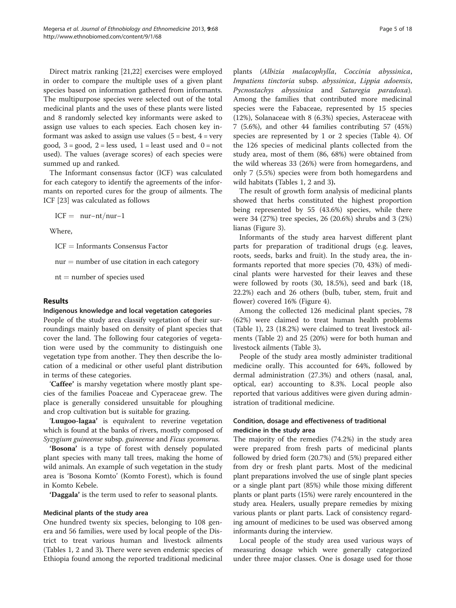Direct matrix ranking [[21,22\]](#page-16-0) exercises were employed in order to compare the multiple uses of a given plant species based on information gathered from informants. The multipurpose species were selected out of the total medicinal plants and the uses of these plants were listed and 8 randomly selected key informants were asked to assign use values to each species. Each chosen key informant was asked to assign use values  $(5 = best, 4 = very$ good,  $3 = \text{good}$ ,  $2 = \text{less used}$ ,  $1 = \text{least used}$  and  $0 = \text{not}$ used). The values (average scores) of each species were summed up and ranked.

The Informant consensus factor (ICF) was calculated for each category to identify the agreements of the informants on reported cures for the group of ailments. The ICF [[23\]](#page-16-0) was calculated as follows

 $ICF = nur-nt/nur-1$ 

Where,

 $ICF =$  Informants Consensus Factor

 $n = number of use citation in each category$ 

 $nt = number of species used$ 

#### Results

#### Indigenous knowledge and local vegetation categories

People of the study area classify vegetation of their surroundings mainly based on density of plant species that cover the land. The following four categories of vegetation were used by the community to distinguish one vegetation type from another. They then describe the location of a medicinal or other useful plant distribution in terms of these categories.

'Caffee' is marshy vegetation where mostly plant species of the families Poaceae and Cyperaceae grew. The place is generally considered unsuitable for ploughing and crop cultivation but is suitable for grazing.

'Luugoo-lagaa' is equivalent to reverine vegetation which is found at the banks of rivers, mostly composed of Syzygium guineense subsp. guineense and Ficus sycomorus.

'Bosona' is a type of forest with densely populated plant species with many tall trees, making the home of wild animals. An example of such vegetation in the study area is 'Bosona Komto' (Komto Forest), which is found in Komto Kebele.

'Daggala' is the term used to refer to seasonal plants.

#### Medicinal plants of the study area

One hundred twenty six species, belonging to 108 genera and 56 families, were used by local people of the District to treat various human and livestock ailments (Tables [1,](#page-5-0) [2](#page-9-0) and [3](#page-10-0)). There were seven endemic species of Ethiopia found among the reported traditional medicinal

plants (Albizia malacophylla, Coccinia abyssinica, Impatiens tinctoria subsp. abyssinica, Lippia adoensis, Pycnostachys abyssinica and Saturegia paradoxa). Among the families that contributed more medicinal species were the Fabaceae, represented by 15 species (12%), Solanaceae with 8 (6.3%) species, Asteraceae with 7 (5.6%), and other 44 families contributing 57 (45%) species are represented by 1 or 2 species (Table [4\)](#page-12-0). Of the 126 species of medicinal plants collected from the study area, most of them (86, 68%) were obtained from the wild whereas 33 (26%) were from homegardens, and only 7 (5.5%) species were from both homegardens and wild habitats (Tables [1,](#page-5-0) [2](#page-9-0) and [3](#page-10-0)).

The result of growth form analysis of medicinal plants showed that herbs constituted the highest proportion being represented by 55 (43.6%) species, while there were 34 (27%) tree species, 26 (20.6%) shrubs and 3 (2%) lianas (Figure [3\)](#page-12-0).

Informants of the study area harvest different plant parts for preparation of traditional drugs (e.g. leaves, roots, seeds, barks and fruit). In the study area, the informants reported that more species (70, 43%) of medicinal plants were harvested for their leaves and these were followed by roots (30, 18.5%), seed and bark (18, 22.2%) each and 26 others (bulb, tuber, stem, fruit and flower) covered 16% (Figure [4](#page-12-0)).

Among the collected 126 medicinal plant species, 78 (62%) were claimed to treat human health problems (Table [1\)](#page-5-0), 23 (18.2%) were claimed to treat livestock ailments (Table [2\)](#page-9-0) and 25 (20%) were for both human and livestock ailments (Table [3\)](#page-10-0).

People of the study area mostly administer traditional medicine orally. This accounted for 64%, followed by dermal administration (27.3%) and others (nasal, anal, optical, ear) accounting to 8.3%. Local people also reported that various additives were given during administration of traditional medicine.

#### Condition, dosage and effectiveness of traditional medicine in the study area

The majority of the remedies (74.2%) in the study area were prepared from fresh parts of medicinal plants followed by dried form (20.7%) and (5%) prepared either from dry or fresh plant parts. Most of the medicinal plant preparations involved the use of single plant species or a single plant part (85%) while those mixing different plants or plant parts (15%) were rarely encountered in the study area. Healers, usually prepare remedies by mixing various plants or plant parts. Lack of consistency regarding amount of medicines to be used was observed among informants during the interview.

Local people of the study area used various ways of measuring dosage which were generally categorized under three major classes. One is dosage used for those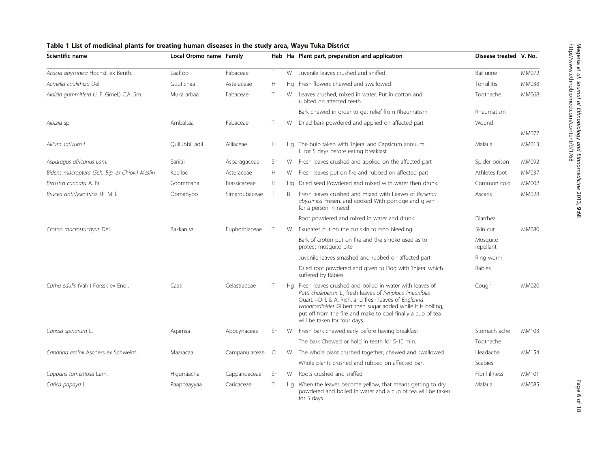| Scientific name                                | Local Oromo name Family |               |        |    | Hab Ha Plant part, preparation and application                                                                                                                                                                                                                                                                                                      | Disease treated V. No. |              |
|------------------------------------------------|-------------------------|---------------|--------|----|-----------------------------------------------------------------------------------------------------------------------------------------------------------------------------------------------------------------------------------------------------------------------------------------------------------------------------------------------------|------------------------|--------------|
| Acacia abyssinica Hochst. ex Benth.            | Laaftoo                 | Fabaceae      | T      |    | W Juvenile leaves crushed and sniffed                                                                                                                                                                                                                                                                                                               | Bat urine              | MM072        |
| Acmella caulirhiza Del.                        | Guutichaa               | Asteraceae    | H      |    | Hg Fresh flowers chewed and swallowed                                                                                                                                                                                                                                                                                                               | Tonsillitis            | MM038        |
| Albizia gummiffera (J. F. Gmel.) C.A. Sm.      | Muka arbaa              | Fabaceae      | T.     | W  | Leaves crushed, mixed in water. Put in cotton and<br>rubbed on affected teeth.                                                                                                                                                                                                                                                                      | Toothache              | MM068        |
|                                                |                         |               |        |    | Bark chewed in order to get relief from Rheumatism                                                                                                                                                                                                                                                                                                  | Rheumatism             |              |
| Albizia sp.                                    | Ambaltaa                | Fabaceae      | Τ      | W  | Dried bark powdered and applied on affected part                                                                                                                                                                                                                                                                                                    | Wound                  |              |
|                                                |                         |               |        |    |                                                                                                                                                                                                                                                                                                                                                     |                        | <b>MM077</b> |
| Allium sativum L.                              | Oullubbii adii          | Alliaceae     | Н      |    | Hg The bulb taken with 'injera' and Capsicum annuum<br>L. for 5 days before eating breakfast                                                                                                                                                                                                                                                        | Malaria                | MM013        |
| Asparagus africanus Lam.                       | Sariitii                | Asparagaceae  | Sh     | W  | Fresh leaves crushed and applied on the affected part                                                                                                                                                                                                                                                                                               | Spider poison          | MM092        |
| Bidens macroptera (Sch. Bip. ex Chiov.) Mesfin | Keelloo                 | Asteraceae    | Н      | W. | Fresh leaves put on fire and rubbed on affected part                                                                                                                                                                                                                                                                                                | Athletes foot          | MM037        |
| Brassica carinata A. Br.                       | Goommana                | Brassicaceae  | Н      | Ha | Dried seed Powdered and mixed with water then drunk.                                                                                                                                                                                                                                                                                                | Common cold            | MM002        |
| Brucea antidysentrica J.F. Mill.               | Qomanyoo                | Simaroubaceae | $\top$ | B  | Fresh leaves crushed and mixed with Leaves of Bersema<br>abyssinica Fresen. and cooked With porridge and given<br>for a person in need                                                                                                                                                                                                              | Ascaris                | MM028        |
|                                                |                         |               |        |    | Root powdered and mixed in water and drunk                                                                                                                                                                                                                                                                                                          | Diarrhea               |              |
| Croton macrostachyus Del.                      | Bakkanisa               | Euphorbiaceae | T      | W  | Exudates put on the cut skin to stop bleeding                                                                                                                                                                                                                                                                                                       | Skin cut               | <b>MM080</b> |
|                                                |                         |               |        |    | Bark of croton put on fire and the smoke used as to<br>protect mosquito bite                                                                                                                                                                                                                                                                        | Mosquito<br>repellant  |              |
|                                                |                         |               |        |    | Juvenile leaves smashed and rubbed on affected part                                                                                                                                                                                                                                                                                                 | Ring worm              |              |
|                                                |                         |               |        |    | Dried root powdered and given to Dog with 'injera' which<br>suffered by Rabies                                                                                                                                                                                                                                                                      | Rabies                 |              |
| Catha edulis (Vahl) Forssk ex Endl.            | Caatii                  | Celastraceae  | $\top$ |    | Hq Fresh leaves crushed and boiled in water with leaves of<br>Ruta chalepensis L., fresh leaves of Periploca linearifolia<br>Quart. - Dill. & A. Rich. and fresh leaves of Englerina<br>woodfordioides Gilbert then sugar added while it is boiling,<br>put off from the fire and make to cool finally a cup of tea<br>will be taken for four days. | Cough                  | MM020        |
| Carissa spinarum L.                            | Agamsa                  | Apocynaceae   | Sh     | W  | Fresh bark chewed early before having breakfast                                                                                                                                                                                                                                                                                                     | Stomach ache           | MM103        |
|                                                |                         |               |        |    | The bark Chewed or hold in teeth for 5-10 min.                                                                                                                                                                                                                                                                                                      | Toothache              |              |
| Canarina eminii Aschers ex Schweinf.           | Maaracaa                | Campanulaceae | C      |    | W The whole plant crushed together, chewed and swallowed                                                                                                                                                                                                                                                                                            | Headache               | MM154        |
|                                                |                         |               |        |    | Whole plants crushed and rubbed on affected part                                                                                                                                                                                                                                                                                                    | Scabies                |              |
| Capparis tomentosa Lam.                        | H.gurraacha             | Capparidaceae | Sh     | W  | Roots crushed and sniffed                                                                                                                                                                                                                                                                                                                           | Fibril illness         | MM101        |
| Carica papaya L.                               | Paappaayyaa             | Caricaceae    | T.     | Ha | When the leaves become yellow, that means getting to dry,<br>powdered and boiled in water and a cup of tea will be taken<br>for 5 days.                                                                                                                                                                                                             | Malaria                | MM085        |

#### <span id="page-5-0"></span>Table 1 List of medicinal plants for treating human diseases in the study area, Wayu Tuka District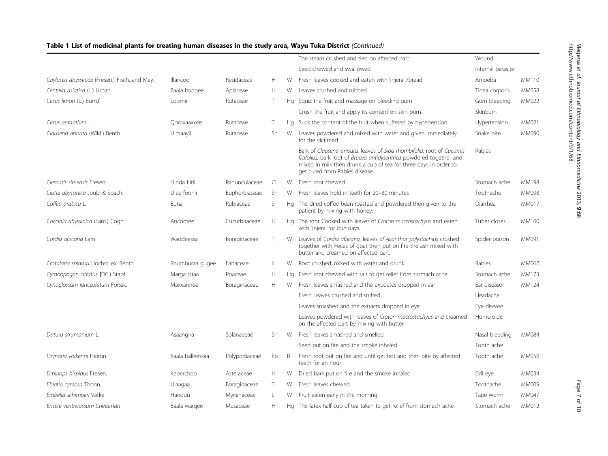## Table 1 List of medicinal plants for treating human diseases in the study area, Wayu Tuka District (Continued)

|                                               |                  |               |           |    | The steam crushed and tied on affected part                                                                                                                                                                                                        | Wound             |       |
|-----------------------------------------------|------------------|---------------|-----------|----|----------------------------------------------------------------------------------------------------------------------------------------------------------------------------------------------------------------------------------------------------|-------------------|-------|
|                                               |                  |               |           |    | Seed chewed and swallowed                                                                                                                                                                                                                          | Internal parasite |       |
| Caylusea abyssinica (Fresen.) Fisch. and Mey. | Illancoo         | Residaceae    | H         | W  | Fresh leaves cooked and eaten with 'injera' /bread                                                                                                                                                                                                 | Amoeba            | MM110 |
| Centella asiatica (L.) Urban                  | Baala buggee     | Apiaceae      | H         | W  | Leaves crushed and rubbed                                                                                                                                                                                                                          | Tinea corporis    | MM058 |
| Citrus limon (L.) Burn.f.                     | Loomii           | Rutaceae      | T         | Hq | Squiz the fruit and massage on bleeding gum                                                                                                                                                                                                        | Gum bleeding      | MM022 |
|                                               |                  |               |           |    | Crush the fruit and apply its content on skin burn.                                                                                                                                                                                                | Skinburn          |       |
| Citrus aurantium L.                           | Oomxaaxxee       | Rutaceae      | T         |    | Hq Suck the content of the fruit when suffered by hypertension                                                                                                                                                                                     | Hypertension      | MM021 |
| Clausena anisata (Wild.) Benth                | Ulmaayii         | Rutaceae      | <b>Sh</b> | W. | Leaves powdered and mixed with water and given immediately<br>for the victimed                                                                                                                                                                     | Snake bite        | MM090 |
|                                               |                  |               |           |    | Bark of Clausena anisata, leaves of Sida rhombifolia, root of Cucumis<br>ficifolius, bark root of Brucea antidysentrica powdered together and<br>mixed in milk then drunk a cup of tea for three days in order to<br>get cured from Rabies disease | Rabies            |       |
| Clematis simensis Fresen.                     | Hidda fiitii     | Ranunculaceae | $\subset$ | W  | Fresh root chewed                                                                                                                                                                                                                                  | Stomach ache      | MM198 |
| Clutia abyssinica Joub. & Spach.              | Ulee foonii      | Euphorbiaceae | Sh        | W  | Fresh leaves hold in teeth for 20-30 minutes                                                                                                                                                                                                       | Toothache         | MM098 |
| Coffea arabica L.                             | Buna             | Rubiaceae     | Sh        |    | Hg The dried coffee bean roasted and powdered then given to the<br>patient by mixing with honey.                                                                                                                                                   | Diarrhea          | MM017 |
| Coccinia abyssinica (Lam.) Cogn.              | Ancootee         | Cucurbitaceae | Н         |    | Hg The root Cooked with leaves of Croton macrostachyus and eaten<br>with 'injera' for four days.                                                                                                                                                   | Tuber closes      | MM100 |
| Cordia africana Lam.                          | Waddeessa        | Boraginaceae  | T         | W  | Leaves of Cordia africana, leaves of Acanthus polystachius crushed<br>together with Feces of goat then put on fire the ash mixed with<br>butter and creamed on affected part.                                                                      | Spider poison     | MM091 |
| Crotalaria spinosa Hochst. ex. Benth.         | Shumburaa gugee  | Fabaceae      | H         | W  | Root crushed, mixed with water and drunk                                                                                                                                                                                                           | Rabies            | MM067 |
| Cymbopogon citratus (DC.) Stapf               | Marga citaa      | Poaceae       | H         | Hq | Fresh root chewed with salt to get relief from stomach ache                                                                                                                                                                                        | Stomach ache      | MM173 |
| Cynoglossum lanceolatum Forssk.               | Maxxannee        | Boraginaceae  | H         | W  | Fresh leaves smashed and the exudates dropped in ear                                                                                                                                                                                               | Ear disease       | MM124 |
|                                               |                  |               |           |    | Fresh Leaves crushed and sniffed                                                                                                                                                                                                                   | Headache          |       |
|                                               |                  |               |           |    | Leaves smashed and the extracts dropped in eye                                                                                                                                                                                                     | Eye disease       |       |
|                                               |                  |               |           |    | Leaves powdered with leaves of Croton macrostachyus and creamed<br>on the affected part by mixing with butter                                                                                                                                      | Homeroide         |       |
| Datura strumanium L.                          | Asaangira        | Solanaceae    | Sh        | W  | Fresh leaves smashed and smelled                                                                                                                                                                                                                   | Nasal bleeding    | MM084 |
|                                               |                  |               |           |    | Seed put on fire and the smoke inhaled                                                                                                                                                                                                             | Tooth ache        |       |
| Drynaria volkensii Heiron.                    | Baala balleessaa | Polypodiaceae | Ep        | B  | Fresh root put on fire and until get hot and then bite by affected<br>teeth for an hour                                                                                                                                                            | Tooth ache        | MM059 |
| Echinops hispidus Fresen.                     | Keberchoo        | Asteraceae    | H         | W  | Dried bark put on fire and the smoke inhaled                                                                                                                                                                                                       | Evil eye          | MM034 |
| Ehretia cymosa Thonn.                         | Ulaagaa          | Boraginaceae  | T.        | W  | Fresh leaves chewed                                                                                                                                                                                                                                | Toothache         | MM009 |
| Embelia schimperi Vatke                       | Hanguu           | Myrsinaceae   | Li        | W  | Fruit eaten early in the morning                                                                                                                                                                                                                   | Tape worm         | MM047 |
| Ensete ventricossum Cheesman                  | Baala wargee     | Musaceae      | H         |    | Hg The latex half cup of tea taken to get relief from stomach ache                                                                                                                                                                                 | Stomach ache      | MM012 |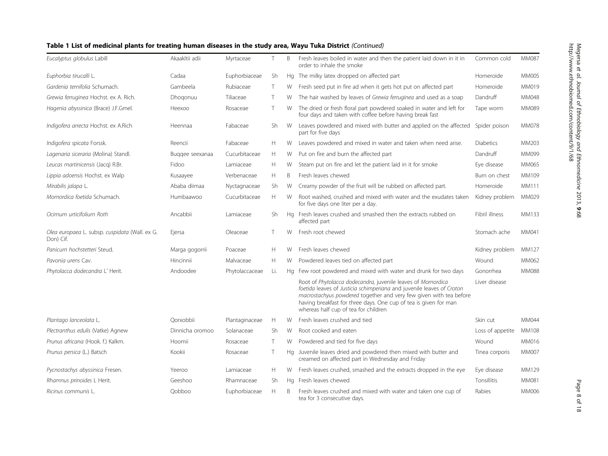## Table 1 List of medicinal plants for treating human diseases in the study area, Wayu Tuka District (Continued)

| Eucalyptus globulus Labill                                  | Akaakltii adii  | Myrtaceae      | T.  | B  | Fresh leaves boiled in water and then the patient laid down in it in<br>order to inhale the smoke                                                                                                                                                                                                                      | Common cold      | MM087        |
|-------------------------------------------------------------|-----------------|----------------|-----|----|------------------------------------------------------------------------------------------------------------------------------------------------------------------------------------------------------------------------------------------------------------------------------------------------------------------------|------------------|--------------|
| Euphorbia tirucalli L.                                      | Cadaa           | Euphorbiaceae  | Sh  | Hq | The milky latex dropped on affected part                                                                                                                                                                                                                                                                               | Homeroide        | <b>MM005</b> |
| Gardenia ternifolia Schumach.                               | Gambeela        | Rubiaceae      | T.  | W  | Fresh seed put in fire ad when it gets hot put on affected part                                                                                                                                                                                                                                                        | Homeroide        | MM019        |
| Grewia ferruginea Hochst. ex A. Rich.                       | Dhogonuu        | Tiliaceae      | Τ   | W  | The hair washed by leaves of Grewia ferruginea and used as a soap                                                                                                                                                                                                                                                      | Dandruff         | MM048        |
| Hagenia abyssinica (Brace) J.F.Gmel.                        | Heexoo          | Rosaceae       | T.  | W  | The dried or fresh floral part powdered soaked in water and left for<br>four days and taken with coffee before having break fast                                                                                                                                                                                       | Tape worm        | MM089        |
| Indigofera arrecta Hochst. ex A.Rich                        | Heennaa         | Fabaceae       | Sh  | W  | Leaves powdered and mixed with butter and applied on the affected<br>part for five days                                                                                                                                                                                                                                | Spider poison    | MM078        |
| Indigofera spicata Forssk.                                  | Reencii         | Fabaceae       | Н   | W  | Leaves powdered and mixed in water and taken when need arise.                                                                                                                                                                                                                                                          | <b>Diabetics</b> | MM203        |
| Lagenaria siceraria (Molina) Standl.                        | Buggee seexanaa | Cucurbitaceae  | H   | W  | Put on fire and burn the affected part                                                                                                                                                                                                                                                                                 | Dandruff         | MM099        |
| Leucas martinicensis (Jacq) R.Br.                           | Fidoo           | Lamiaceae      | Н   | W  | Steam put on fire and let the patient laid in it for smoke                                                                                                                                                                                                                                                             | Eye disease      | MM065        |
| Lippia adoensis Hochst. ex Walp                             | Kusaayee        | Verbenaceae    | H   | B  | Fresh leaves chewed                                                                                                                                                                                                                                                                                                    | Burn on chest    | MM109        |
| Mirabilis jalapa L.                                         | Ababa diimaa    | Nyctagnaceae   | Sh  | W  | Creamy powder of the fruit will be rubbed on affected part.                                                                                                                                                                                                                                                            | Homeroide        | MM111        |
| Momordica foetida Schumach.                                 | Humbaawoo       | Cucurbitaceae  | H.  | W  | Root washed, crushed and mixed with water and the exudates taken<br>for five days one liter per a day.                                                                                                                                                                                                                 | Kidney problem   | MM029        |
| Ocimum urticifolium Roth                                    | Ancabbii        | Lamiaceae      | Sh  | Ha | Fresh leaves crushed and smashed then the extracts rubbed on<br>affected part                                                                                                                                                                                                                                          | Fibril illness   | MM133        |
| Olea europaea L. subsp. cuspidata (Wall. ex G.<br>Don) Cif. | Ejersa          | Oleaceae       | Τ   | W  | Fresh root chewed                                                                                                                                                                                                                                                                                                      | Stomach ache     | MM041        |
| Panicum hochstetteri Steud.                                 | Marga gogorrii  | Poaceae        | H   | W  | Fresh leaves chewed                                                                                                                                                                                                                                                                                                    | Kidney problem   | MM127        |
| Pavonia urens Cav.                                          | Hincinnii       | Malvaceae      | Н   | W  | Powdered leaves tied on affected part                                                                                                                                                                                                                                                                                  | Wound            | MM062        |
| Phytolacca dodecandra L'Herit.                              | Andoodee        | Phytolaccaceae | Li. | Hq | Few root powdered and mixed with water and drunk for two days                                                                                                                                                                                                                                                          | Gonorrhea        | <b>MM088</b> |
|                                                             |                 |                |     |    | Root of Phytolacca dodecandra, juvenile leaves of Momordica<br>foetida leaves of Justicia schimperiana and juvenile leaves of Croton<br>macrostachyus powdered together and very few given with tea before<br>having breakfast for three days. One cup of tea is given for man<br>whereas half cup of tea for children | Liver disease    |              |
| Plantago lanceolata L.                                      | Oorxobbii       | Plantaginaceae | Н   | W  | Fresh leaves crushed and tied                                                                                                                                                                                                                                                                                          | Skin cut         | MM044        |
| Plectranthus edulis (Vatke) Agnew                           | Dinnicha oromoo | Solanaceae     | Sh  | W  | Root cooked and eaten                                                                                                                                                                                                                                                                                                  | Loss of appetite | MM108        |
| Prunus africana (Hook. f.) Kalkm.                           | Hoomii          | Rosaceae       | T.  | W  | Powdered and tied for five days                                                                                                                                                                                                                                                                                        | Wound            | MM016        |
| Prunus persica (L.) Batsch                                  | Kookii          | Rosaceae       | T.  | Hq | Juvenile leaves dried and powdered then mixed with butter and<br>creamed on affected part in Wednesday and Friday                                                                                                                                                                                                      | Tinea corporis   | MM007        |
| Pycnostachys abyssinica Fresen.                             | Yeeroo          | Lamiaceae      | Н   | W  | Fresh leaves crushed, smashed and the extracts dropped in the eye                                                                                                                                                                                                                                                      | Eye disease      | MM129        |
| Rhamnus prinoides L Herit.                                  | Geeshoo         | Rhamnaceae     | Sh  | Hq | Fresh leaves chewed                                                                                                                                                                                                                                                                                                    | Tonsillitis      | MM081        |
| Ricinus communis L.                                         | Oobboo          | Euphorbiaceae  | H   | B  | Fresh leaves crushed and mixed with water and taken one cup of<br>tea for 3 consecutive days.                                                                                                                                                                                                                          | Rabies           | MM006        |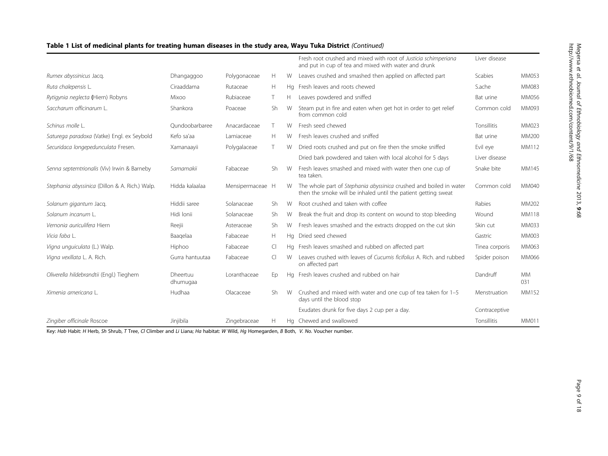#### Table 1 List of medicinal plants for treating human diseases in the study area, Wayu Tuka District (Continued)

|                                                |                             |                  |           |    | Fresh root crushed and mixed with root of Justicia schimperiana<br>and put in cup of tea and mixed with water and drunk              | Liver disease  |                  |
|------------------------------------------------|-----------------------------|------------------|-----------|----|--------------------------------------------------------------------------------------------------------------------------------------|----------------|------------------|
| Rumex abyssinicus Jacq.                        | Dhangaggoo                  | Polygonaceae     | Н         | W  | Leaves crushed and smashed then applied on affected part                                                                             | Scabies        | MM053            |
| Ruta chalepensis L.                            | Ciraaddama                  | Rutaceae         | H.        |    | Hg Fresh leaves and roots chewed                                                                                                     | Sache          | MM083            |
| Rytigynia neglecta (Hiern) Robyns              | Mixoo                       | Rubiaceae        | T.        | н  | Leaves powdered and sniffed                                                                                                          | Bat urine      | MM056            |
| Saccharum officinarum L.                       | Shankora                    | Poaceae          | Sh        | W  | Steam put in fire and eaten when get hot in order to get relief<br>from common cold                                                  | Common cold    | MM093            |
| Schinus molle L.                               | Oundoobarbaree              | Anacardaceae     | T.        | W  | Fresh seed chewed                                                                                                                    | Tonsillitis    | MM023            |
| Saturega paradoxa (Vatke) Engl. ex Seybold     | Kefo sa'aa                  | Lamiaceae        | H         | W  | Fresh leaves crushed and sniffed                                                                                                     | Bat urine      | MM200            |
| Securidaca longepedunculata Fresen.            | Xamanaayii                  | Polygalaceae     | T.        | W  | Dried roots crushed and put on fire then the smoke sniffed                                                                           | Evil eye       | MM112            |
|                                                |                             |                  |           |    | Dried bark powdered and taken with local alcohol for 5 days                                                                          | Liver disease  |                  |
| Senna septemtrionalis (Viv) Irwin & Barneby    | Samamakii                   | Fabaceae         | .Sh       | W  | Fresh leaves smashed and mixed with water then one cup of<br>tea taken.                                                              | Snake bite     | MM145            |
| Stephania abyssinica (Dillon & A. Rich.) Walp. | Hidda kalaalaa              | Mensipermaceae H |           | W  | The whole part of Stephania abyssinica crushed and boiled in water<br>then the smoke will be inhaled until the patient getting sweat | Common cold    | MM040            |
| Solanum gigantum Jacq.                         | Hiddii saree                | Solanaceae       | <b>Sh</b> | W  | Root crushed and taken with coffee                                                                                                   | Rabies         | MM202            |
| Solanum incanum L.                             | Hidi lonii                  | Solanaceae       | <b>Sh</b> | W  | Break the fruit and drop its content on wound to stop bleeding                                                                       | Wound          | MM118            |
| Vernonia auriculifera Hiern                    | Reejii                      | Asteraceae       | Sh        | W  | Fresh leaves smashed and the extracts dropped on the cut skin                                                                        | Skin cut       | MM033            |
| Vicia faba L.                                  | Baaqelaa                    | Fabaceae         | H         | Hq | Dried seed chewed                                                                                                                    | Gastric        | MM003            |
| Vigna unguiculata (L.) Walp.                   | Hiphoo                      | Fabaceae         | CI        |    | Hq Fresh leaves smashed and rubbed on affected part                                                                                  | Tinea corporis | MM063            |
| Vigna vexillata L. A. Rich.                    | Gurra hantuutaa             | Fabaceae         | $\Box$    | W  | Leaves crushed with leaves of Cucumis ficifolius A. Rich, and rubbed<br>on affected part                                             | Spider poison  | MM066            |
| Oliverella hildebrandtii (Engl.) Tieghem       | <b>Dheertuu</b><br>dhumuqaa | Loranthaceae     | Ep        | Ha | Fresh leaves crushed and rubbed on hair                                                                                              | Dandruff       | <b>MM</b><br>031 |
| Ximenia americana L.                           | Hudhaa                      | Olacaceae        | <b>Sh</b> | W  | Crushed and mixed with water and one cup of tea taken for 1-5<br>days until the blood stop                                           | Menstruation   | MM152            |
|                                                |                             |                  |           |    | Exudates drunk for five days 2 cup per a day.                                                                                        | Contraceptive  |                  |
| Zingiber officinale Roscoe                     | Jinjibila                   | Zingebraceae     | Н         |    | Hg Chewed and swallowed                                                                                                              | Tonsillitis    | MM011            |

Key: Hab Habit: H Herb, Sh Shrub, T Tree, Cl Climber and Li Liana; Ha habitat: W Wild, Hg Homegarden, B Both, V. No. Voucher number.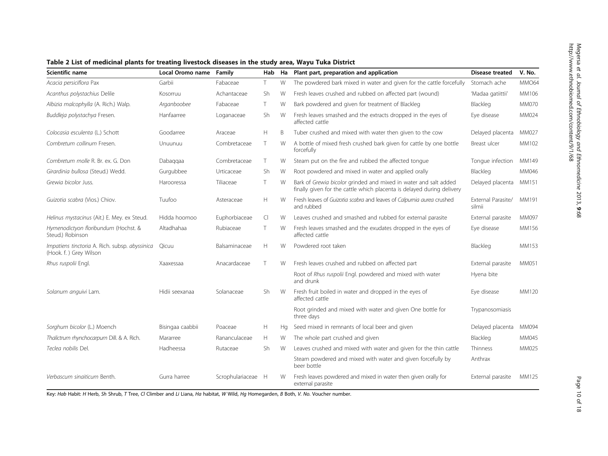| <b>Scientific name</b>                                                   | Local Oromo name | Family           | Hab    | Ha | Plant part, preparation and application                                                                                                    | <b>Disease treated</b>       | V. No.       |
|--------------------------------------------------------------------------|------------------|------------------|--------|----|--------------------------------------------------------------------------------------------------------------------------------------------|------------------------------|--------------|
| Acacia persiciflora Pax                                                  | Garbii           | Fabaceae         | T.     | W  | The powdered bark mixed in water and given for the cattle forcefully                                                                       | Stomach ache                 | MMO64        |
| Acanthus polystachius Delile                                             | Kosorruu         | Achantaceae      | Sh     | W  | Fresh leaves crushed and rubbed on affected part (wound)                                                                                   | 'Madaa gatiittii'            | MM106        |
| Albizia malcophylla (A. Rich.) Walp.                                     | Arganboobee      | Fabaceae         | T.     | W  | Bark powdered and given for treatment of Blackleg                                                                                          | Blackleg                     | <b>MM070</b> |
| Buddleja polystachya Fresen.                                             | Hanfaarree       | Loganaceae       | Sh     | W  | Fresh leaves smashed and the extracts dropped in the eyes of<br>affected cattle                                                            | Eye disease                  | MM024        |
| Colocasia esculenta (L.) Schott                                          | Goodarree        | Araceae          | H      | B  | Tuber crushed and mixed with water then given to the cow                                                                                   | Delayed placenta             | MM027        |
| Combretum collinum Fresen.                                               | Unuunuu          | Combretaceae     | T.     | W  | A bottle of mixed fresh crushed bark given for cattle by one bottle<br>forcefully                                                          | Breast ulcer                 | MM102        |
| Combretum molle R. Br. ex. G. Don                                        | Dabaggaa         | Combretaceae     | T      | W  | Steam put on the fire and rubbed the affected tongue                                                                                       | Tongue infection             | MM149        |
| Girardinia bullosa (Steud.) Wedd.                                        | Gurgubbee        | Urticaceae       | Sh     | W  | Root powdered and mixed in water and applied orally                                                                                        | Blackleg                     | MM046        |
| Grewia bicolor Juss.                                                     | Harooressa       | Tiliaceae        | T      | W  | Bark of Grewia bicolor grinded and mixed in water and salt added<br>finally given for the cattle which placenta is delayed during delivery | Delayed placenta             | MM151        |
| Guizotia scabra (Vios.) Chiov.                                           | Tuufoo           | Asteraceae       | H      | W  | Fresh leaves of Guizotia scabra and leaves of Calpurnia aurea crushed<br>and rubbed                                                        | External Parasite/<br>silmii | MM191        |
| Helinus mystacinus (Ait.) E. Mey. ex Steud.                              | Hidda hoomoo     | Euphorbiaceae    | $\Box$ | W  | Leaves crushed and smashed and rubbed for external parasite                                                                                | External parasite            | MM097        |
| Hymenodictyon floribundum (Hochst. &<br>Steud.) Robinson                 | Altadhahaa       | Rubiaceae        | T      | W  | Fresh leaves smashed and the exudates dropped in the eyes of<br>affected cattle                                                            | Eye disease                  | MM156        |
| Impatiens tinctoria A. Rich. subsp. abyssinica<br>(Hook. f.) Grey Wilson | Qicuu            | Balsaminaceae    | H      | W  | Powdered root taken                                                                                                                        | Blackleg                     | MM153        |
| Rhus ruspolii Engl.                                                      | Xaaxessaa        | Anacardaceae     | Т      | W  | Fresh leaves crushed and rubbed on affected part                                                                                           | External parasite            | MM051        |
|                                                                          |                  |                  |        |    | Root of Rhus ruspolii Engl. powdered and mixed with water<br>and drunk                                                                     | Hyena bite                   |              |
| Solanum anguivi Lam.                                                     | Hidii seexanaa   | Solanaceae       | Sh     | W  | Fresh fruit boiled in water and dropped in the eyes of<br>affected cattle                                                                  | Eye disease                  | MM120        |
|                                                                          |                  |                  |        |    | Root grinded and mixed with water and given One bottle for<br>three days                                                                   | Trypanosomiasis              |              |
| Sorghum bicolor (L.) Moench                                              | Bisingaa caabbii | Poaceae          | Н      | Hq | Seed mixed in remnants of local beer and given                                                                                             | Delayed placenta             | MM094        |
| Thalictrum rhynchocarpum Dill. & A. Rich.                                | Mararree         | Rananculaceae    | H      | W  | The whole part crushed and given                                                                                                           | Blackleg                     | MM045        |
| Teclea nobilis Del.                                                      | Hadheessa        | Rutaceae         | Sh     | W  | Leaves crushed and mixed with water and given for the thin cattle                                                                          | Thinness                     | MM025        |
|                                                                          |                  |                  |        |    | Steam powdered and mixed with water and given forcefully by<br>beer bottle                                                                 | Anthrax                      |              |
| Verbascum sinaiticum Benth.                                              | Gurra harree     | Scrophulariaceae | H      | W  | Fresh leaves powdered and mixed in water then given orally for<br>external parasite                                                        | External parasite            | MM125        |

<span id="page-9-0"></span>Table 2 List of medicinal plants for treating livestock diseases in the study area, Wayu Tuka District

Key: Hab Habit: H Herb, Sh Shrub, T Tree, Cl Climber and Li Liana, Ha habitat, W Wild, Hg Homegarden, B Both, V. No. Voucher number.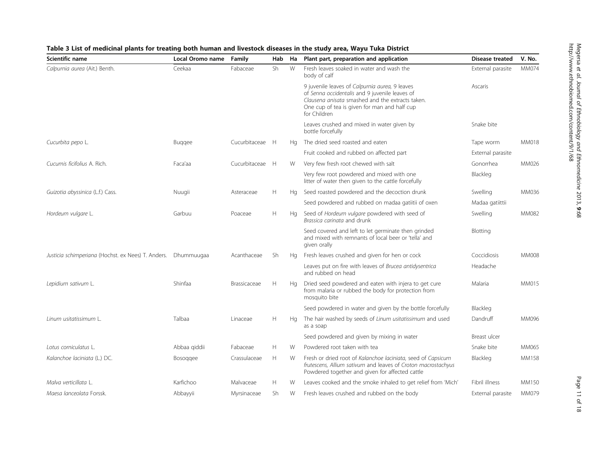| Scientific name                                               | Local Oromo name | Family          | Hab | Ha | Plant part, preparation and application                                                                                                                                                                              | Disease treated   | V. No.       |
|---------------------------------------------------------------|------------------|-----------------|-----|----|----------------------------------------------------------------------------------------------------------------------------------------------------------------------------------------------------------------------|-------------------|--------------|
| Calpurnia aurea (Ait.) Benth.                                 | Ceekaa           | Fabaceae        | Sh  | W  | Fresh leaves soaked in water and wash the<br>body of calf                                                                                                                                                            | External parasite | MM074        |
|                                                               |                  |                 |     |    | 9 juvenile leaves of Calpurnia aurea, 9 leaves<br>of Senna occidentalis and 9 juvenile leaves of<br>Clausena anisata smashed and the extracts taken.<br>One cup of tea is given for man and half cup<br>for Children | Ascaris           |              |
|                                                               |                  |                 |     |    | Leaves crushed and mixed in water given by<br>bottle forcefully                                                                                                                                                      | Snake bite        |              |
| Cucurbita pepo L.                                             | <b>Buggee</b>    | Cucurbitaceae H |     | Hq | The dried seed roasted and eaten                                                                                                                                                                                     | Tape worm         | MM018        |
|                                                               |                  |                 |     |    | Fruit cooked and rubbed on affected part                                                                                                                                                                             | External parasite |              |
| Cucumis ficifolius A. Rich.                                   | Faca'aa          | Cucurbitaceae H |     | W  | Very few fresh root chewed with salt                                                                                                                                                                                 | Gonorrhea         | MM026        |
|                                                               |                  |                 |     |    | Very few root powdered and mixed with one<br>litter of water then given to the cattle forcefully                                                                                                                     | Blackleg          |              |
| Guizotia abyssinica (L.f.) Cass.                              | Nuugii           | Asteraceae      | H   | Hq | Seed roasted powdered and the decoction drunk                                                                                                                                                                        | Swelling          | MM036        |
|                                                               |                  |                 |     |    | Seed powdered and rubbed on madaa gatiitii of oxen                                                                                                                                                                   | Madaa gatiittii   |              |
| Hordeum vulgare L.                                            | Garbuu           | Poaceae         | H   | Hq | Seed of Hordeum vulgare powdered with seed of<br>Brassica carinata and drunk                                                                                                                                         | Swelling          | MM082        |
|                                                               |                  |                 |     |    | Seed covered and left to let germinate then grinded<br>and mixed with remnants of local beer or 'tella' and<br>given orally                                                                                          | Blotting          |              |
| Justicia schimperiana (Hochst. ex Nees) T. Anders. Dhummuugaa |                  | Acanthaceae     | Sh  | Ha | Fresh leaves crushed and given for hen or cock                                                                                                                                                                       | Coccidiosis       | <b>MM008</b> |
|                                                               |                  |                 |     |    | Leaves put on fire with leaves of Brucea antidysentrica<br>and rubbed on head                                                                                                                                        | Headache          |              |
| Lepidium sativum L.                                           | Shinfaa          | Brassicaceae    | H   | Ha | Dried seed powdered and eaten with injera to get cure<br>from malaria or rubbed the body for protection from<br>mosquito bite                                                                                        | Malaria           | MM015        |
|                                                               |                  |                 |     |    | Seed powdered in water and given by the bottle forcefully                                                                                                                                                            | Blackleg          |              |
| Linum usitatissimum L.                                        | Talbaa           | Linaceae        | H   | Hq | The hair washed by seeds of Linum usitatissimum and used<br>as a soap                                                                                                                                                | Dandruff          | MM096        |
|                                                               |                  |                 |     |    | Seed powdered and given by mixing in water                                                                                                                                                                           | Breast ulcer      |              |
| Lotus corniculatus L.                                         | Abbaa qiddii     | Fabaceae        | H   | W  | Powdered root taken with tea                                                                                                                                                                                         | Snake bite        | MM065        |
| Kalanchoe laciniata (L.) DC.                                  | Bosoggee         | Crassulaceae    | H   | W  | Fresh or dried root of Kalanchoe laciniata, seed of Capsicum<br>frutescens, Allium sativum and leaves of Croton macrostachyus<br>Powdered together and given for affected cattle                                     | Blackleg          | MM158        |
| Malva verticillata L.                                         | Karfichoo        | Malvaceae       | H   | W  | Leaves cooked and the smoke inhaled to get relief from 'Mich'                                                                                                                                                        | Fibril illness    | MM150        |
| Maesa lanceolata Forssk.                                      | Abbayyii         | Myrsinaceae     | Sh  | W  | Fresh leaves crushed and rubbed on the body                                                                                                                                                                          | External parasite | MM079        |

## <span id="page-10-0"></span>Table 3 List of medicinal plants for treating both human and livestock diseases in the study area, Wayu Tuka District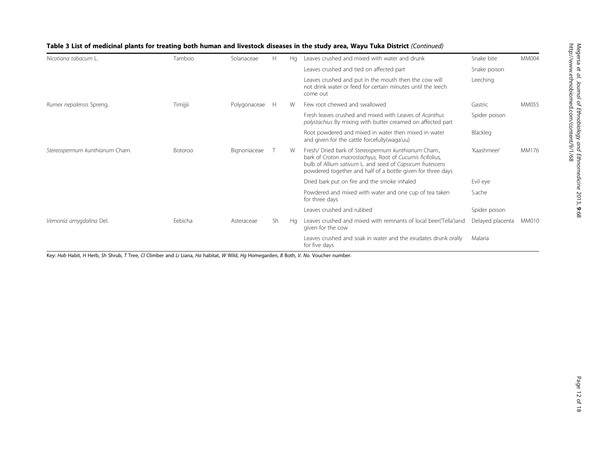| Nicotiana tabacum L.           | Tamboo   | Solanaceae   | H  | Ha | Leaves crushed and mixed with water and drunk                                                                                                                                                                                                 | Snake bite       | MM004        |
|--------------------------------|----------|--------------|----|----|-----------------------------------------------------------------------------------------------------------------------------------------------------------------------------------------------------------------------------------------------|------------------|--------------|
|                                |          |              |    |    |                                                                                                                                                                                                                                               |                  |              |
|                                |          |              |    |    | Leaves crushed and tied on affected part                                                                                                                                                                                                      | Snake poison     |              |
|                                |          |              |    |    | Leaves crushed and put in the mouth then the cow will<br>not drink water or feed for certain minutes until the leech<br>come out                                                                                                              | Leeching         |              |
| Rumex nepalensis Spreng.       | Timijjii | Polygonaceae | Н  | W  | Few root chewed and swallowed                                                                                                                                                                                                                 | Gastric          | MM055        |
|                                |          |              |    |    | Fresh leaves crushed and mixed with Leaves of Acanthus<br>polystachius By mixing with butter creamed on affected part                                                                                                                         | Spider poison    |              |
|                                |          |              |    |    | Root powdered and mixed in water then mixed in water<br>and given for the cattle forcefully (waga'uu)                                                                                                                                         | Blackleg         |              |
| Stereospermum kunthianum Cham. | Botoroo  | Bignoniaceae |    | W  | Fresh/ Dried bark of Stereospermum kunthianum Cham.,<br>bark of Croton macrostachyus, Root of Cucumis ficifolius,<br>bulb of Allium sativum L. and seed of Capsicum frutescens<br>powdered together and half of a bottle given for three days | 'Kaashmeer'      | MM176        |
|                                |          |              |    |    | Dried bark put on fire and the smoke inhaled                                                                                                                                                                                                  | Evil eye         |              |
|                                |          |              |    |    | Powdered and mixed with water and one cup of tea taken<br>for three days                                                                                                                                                                      | S.ache           |              |
|                                |          |              |    |    | Leaves crushed and rubbed                                                                                                                                                                                                                     | Spider poison    |              |
| Vernonia amygdalina Del.       | Eebicha  | Asteraceae   | Sh | Ha | Leaves crushed and mixed with remnants of local beer(Tella') and<br>given for the cow                                                                                                                                                         | Delayed placenta | <b>MM010</b> |
|                                |          |              |    |    | Leaves crushed and soak in water and the exudates drunk orally<br>for five days                                                                                                                                                               | Malaria          |              |

## Table 3 List of medicinal plants for treating both human and livestock diseases in the study area, Wayu Tuka District (Continued)

Key: Hab Habit, H Herb, Sh Shrub, T Tree, Cl Climber and Li Liana, Ha habitat, W Wild, Hg Homegarden, B Both, V. No. Voucher number.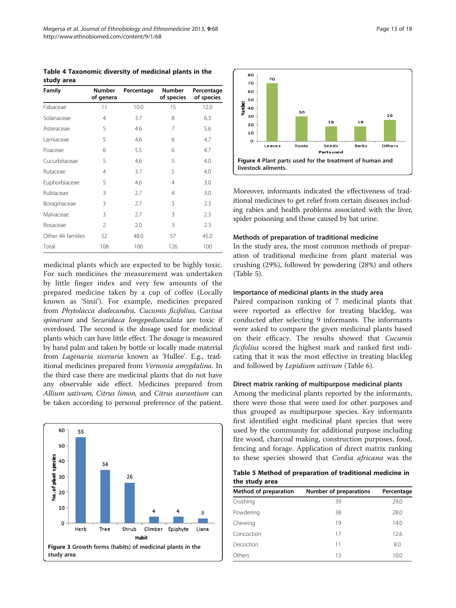<span id="page-12-0"></span>Table 4 Taxonomic diversity of medicinal plants in the study area

| Family            | Number<br>of genera | Percentage | Number<br>of species | Percentage<br>of species |
|-------------------|---------------------|------------|----------------------|--------------------------|
| Fabaceae          | 11                  | 10.0       | 15                   | 12.0                     |
| Solanaceae        | 4                   | 3.7        | 8                    | 6.3                      |
| Asteraceae        | 5                   | 4.6        | 7                    | 5.6                      |
| Lamiaceae         | 5                   | 4.6        | 6                    | 4.7                      |
| Poaceae           | 6                   | 5.5        | 6                    | 4.7                      |
| Cucurbitaceae     | 5                   | 4.6        | 5                    | 4.0                      |
| Rutaceae          | 4                   | 3.7        | 5                    | 4.0                      |
| Euphorbiaceae     | 5                   | 4.6        | $\overline{4}$       | 3.0                      |
| Rubiaceae         | 3                   | 2.7        | $\overline{4}$       | 3.0                      |
| Boraginaceae      | 3                   | 2.7        | 3                    | 2.3                      |
| Malvaceae         | 3                   | 2.7        | 3                    | 2.3                      |
| Rosaceae          | $\mathfrak{D}$      | 2.0        | 3                    | 2.3                      |
| Other 44 families | 52                  | 48.0       | 57                   | 45.0                     |
| Total             | 108                 | 100        | 126                  | 100                      |

medicinal plants which are expected to be highly toxic. For such medicines the measurement was undertaken by little finger index and very few amounts of the prepared medicine taken by a cup of coffee (Locally known as 'Sinii'). For example, medicines prepared from Phytolacca dodecandra, Cucumis ficifolius, Carissa spinarum and Securidaca longepedunculata are toxic if overdosed. The second is the dosage used for medicinal plants which can have little effect. The dosage is measured by hand palm and taken by bottle or locally made material from Lagenaria siceraria known as 'Hullee'. E.g., traditional medicines prepared from Vernonia amygdalina. In the third case there are medicinal plants that do not have any observable side effect. Medicines prepared from Allium sativum, Citrus limon, and Citrus aurantium can be taken according to personal preference of the patient.





Moreover, informants indicated the effectiveness of traditional medicines to get relief from certain diseases including rabies and health problems associated with the liver, spider poisoning and those caused by bat urine.

#### Methods of preparation of traditional medicine

In the study area, the most common methods of preparation of traditional medicine from plant material was crushing (29%), followed by powdering (28%) and others (Table 5).

#### Importance of medicinal plants in the study area

Paired comparison ranking of 7 medicinal plants that were reported as effective for treating blackleg, was conducted after selecting 9 informants. The informants were asked to compare the given medicinal plants based on their efficacy. The results showed that Cucumis ficifolius scored the highest mark and ranked first indicating that it was the most effective in treating blackleg and followed by Lepidium sativum (Table [6\)](#page-13-0).

#### Direct matrix ranking of multipurpose medicinal plants

Among the medicinal plants reported by the informants, there were those that were used for other purposes and thus grouped as multipurpose species. Key informants first identified eight medicinal plant species that were used by the community for additional purpose including fire wood, charcoal making, construction purposes, food, fencing and forage. Application of direct matrix ranking to these species showed that Cordia africana was the

|                |  | Table 5 Method of preparation of traditional medicine in |  |
|----------------|--|----------------------------------------------------------|--|
| the study area |  |                                                          |  |

| Method of preparation | Number of preparations | Percentage |
|-----------------------|------------------------|------------|
| Crushing              | 39                     | 29.0       |
| Powdering             | 38                     | 28.0       |
| Chewing               | 19                     | 14.0       |
| Concoction            | 17                     | 12.6       |
| Decoction             | 11                     | 8.0        |
| Others                | 13                     | 10.0       |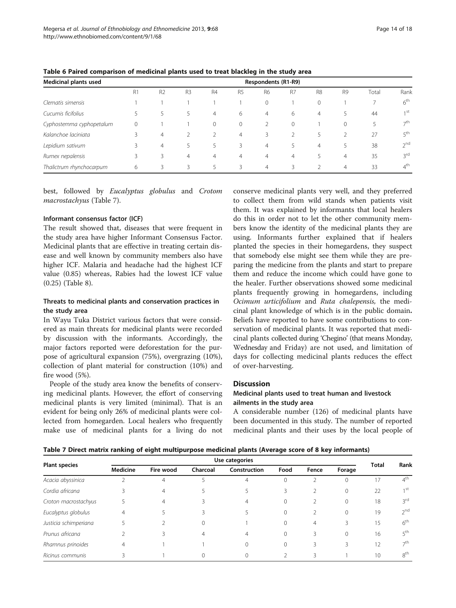| Medicinal plants used    | Respondents (R1-R9) |                |                |              |                |              |                          |                |                |       |                            |
|--------------------------|---------------------|----------------|----------------|--------------|----------------|--------------|--------------------------|----------------|----------------|-------|----------------------------|
|                          | R1                  | R <sub>2</sub> | R <sub>3</sub> | <b>R4</b>    | R <sub>5</sub> | <b>R6</b>    | R7                       | R <sub>8</sub> | R <sub>9</sub> | Total | Rank                       |
| Clematis simensis        |                     |                |                |              |                | $\mathbf{0}$ |                          | $\circ$        |                |       | 6 <sup>th</sup>            |
| Cucumis ficifolius       |                     | 5              | 5              | 4            | 6              | 4            | 6                        | 4              |                | 44    | 1 <sup>st</sup>            |
| Cyphostemma cyphopetalum |                     |                |                | $\mathbf{0}$ | 0              |              | $\mathbf{0}$             |                | 0              | 5     | 7 <sup>th</sup>            |
| Kalanchoe laciniata      |                     | 4              |                |              | 4              | 3            | $\overline{\phantom{a}}$ |                |                | 27    | $\mathsf{r}^{\mathsf{th}}$ |
| Lepidium sativum         |                     | 4              | 5              | 5            | 3              | 4            |                          | 4              |                | 38    | 2 <sup>nd</sup>            |
| Rumex nepalensis         |                     | 3              | 4              | 4            | 4              | 4            | $\overline{4}$           |                | 4              | 35    | 3rd                        |
| Thalictrum rhynchocarpum | 6                   | 3              | 3              | 5            | 3              | 4            | 3                        |                | 4              | 33    | $4^{\text{th}}$            |

<span id="page-13-0"></span>Table 6 Paired comparison of medicinal plants used to treat blackleg in the study area

best, followed by Eucalyptus globulus and Crotom macrostachyus (Table 7).

#### Informant consensus factor (ICF)

The result showed that, diseases that were frequent in the study area have higher Informant Consensus Factor. Medicinal plants that are effective in treating certain disease and well known by community members also have higher ICF. Malaria and headache had the highest ICF value (0.85) whereas, Rabies had the lowest ICF value (0.25) (Table [8](#page-14-0)).

#### Threats to medicinal plants and conservation practices in the study area

In Wayu Tuka District various factors that were considered as main threats for medicinal plants were recorded by discussion with the informants. Accordingly, the major factors reported were deforestation for the purpose of agricultural expansion (75%), overgrazing (10%), collection of plant material for construction (10%) and fire wood (5%).

People of the study area know the benefits of conserving medicinal plants. However, the effort of conserving medicinal plants is very limited (minimal). That is an evident for being only 26% of medicinal plants were collected from homegarden. Local healers who frequently make use of medicinal plants for a living do not

conserve medicinal plants very well, and they preferred to collect them from wild stands when patients visit them. It was explained by informants that local healers do this in order not to let the other community members know the identity of the medicinal plants they are using. Informants further explained that if healers planted the species in their homegardens, they suspect that somebody else might see them while they are preparing the medicine from the plants and start to prepare them and reduce the income which could have gone to the healer. Further observations showed some medicinal plants frequently growing in homegardens, including Ocimum urticifolium and Ruta chalepensis, the medicinal plant knowledge of which is in the public domain. Beliefs have reported to have some contributions to conservation of medicinal plants. It was reported that medicinal plants collected during 'Chegino' (that means Monday, Wednesday and Friday) are not used, and limitation of days for collecting medicinal plants reduces the effect of over-harvesting.

#### **Discussion**

#### Medicinal plants used to treat human and livestock ailments in the study area

A considerable number (126) of medicinal plants have been documented in this study. The number of reported medicinal plants and their uses by the local people of

Table 7 Direct matrix ranking of eight multipurpose medicinal plants (Average score of 8 key informants)

|                       |                 |           | <b>Total</b> |              |          |       |          |    |                 |
|-----------------------|-----------------|-----------|--------------|--------------|----------|-------|----------|----|-----------------|
| <b>Plant species</b>  | <b>Medicine</b> | Fire wood | Charcoal     | Construction | Food     | Fence | Forage   |    | Rank            |
| Acacia abyssinica     |                 | 4         |              | 4            | 0        |       |          | 17 | $4^{\text{th}}$ |
| Cordia africana       |                 | 4         |              |              |          |       |          | 22 | 1 <sub>st</sub> |
| Croton macrostachyus  |                 | 4         |              | 4            | $\Omega$ |       |          | 18 | ι ασ            |
| Eucalyptus globulus   | 4               |           |              |              | $\Omega$ |       | $\Omega$ | 19 | 2 <sub>nd</sub> |
| Justicia schimperiana |                 |           |              |              | $\Omega$ | 4     | 3        | 15 | 6 <sup>th</sup> |
| Prunus africana       |                 |           |              |              | $\Omega$ | 3     | 0        | 16 | $E$ th          |
| Rhamnus prinoides     | 4               |           |              |              | $\Omega$ |       |          | 12 | ₹th             |
| Ricinus communis      |                 |           |              |              |          |       |          | 10 | oth             |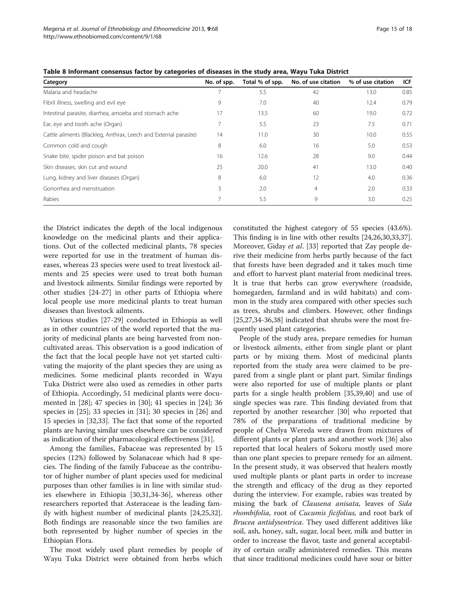| Category                                                         | No. of spp. | Total % of spp. | No. of use citation | % of use citation | ICF  |
|------------------------------------------------------------------|-------------|-----------------|---------------------|-------------------|------|
| Malaria and headache                                             |             | 5.5             | 42                  | 13.0              | 0.85 |
| Fibril illness, swelling and evil eye                            | 9           | 7.0             | 40                  | 12.4              | 0.79 |
| Intestinal parasite, diarrhea, amoeba and stomach ache           | 17          | 13.5            | 60                  | 19.0              | 0.72 |
| Ear, eye and tooth ache (Organ)                                  |             | 5.5             | 23                  | 7.5               | 0.71 |
| Cattle ailments (Blackleg, Anthrax, Leech and External parasite) | 14          | 11.0            | 30                  | 10.0              | 0.55 |
| Common cold and cough                                            | 8           | 6.0             | 16                  | 5.0               | 0.53 |
| Snake bite, spider poison and bat poison                         | 16          | 12.6            | 28                  | 9.0               | 0.44 |
| Skin diseases, skin cut and wound                                | 25          | 20.0            | 41                  | 13.0              | 0.40 |
| Lung, kidney and liver diseases (Organ)                          | 8           | 6.0             | 12                  | 4.0               | 0.36 |
| Gonorrhea and menstruation                                       | 3           | 2.0             | 4                   | 2.0               | 0.33 |
| Rabies                                                           |             | 5.5             | 9                   | 3.0               | 0.25 |

<span id="page-14-0"></span>Table 8 Informant consensus factor by categories of diseases in the study area, Wayu Tuka District

the District indicates the depth of the local indigenous knowledge on the medicinal plants and their applications. Out of the collected medicinal plants, 78 species were reported for use in the treatment of human diseases, whereas 23 species were used to treat livestock ailments and 25 species were used to treat both human and livestock ailments. Similar findings were reported by other studies [\[24](#page-16-0)-[27](#page-16-0)] in other parts of Ethiopia where local people use more medicinal plants to treat human diseases than livestock ailments.

Various studies [\[27-29](#page-16-0)] conducted in Ethiopia as well as in other countries of the world reported that the majority of medicinal plants are being harvested from noncultivated areas. This observation is a good indication of the fact that the local people have not yet started cultivating the majority of the plant species they are using as medicines. Some medicinal plants recorded in Wayu Tuka District were also used as remedies in other parts of Ethiopia. Accordingly, 51 medicinal plants were documented in [\[28](#page-16-0)]; 47 species in [[30\]](#page-16-0); 41 species in [\[24\]](#page-16-0); 36 species in [\[25\]](#page-16-0); 33 species in [\[31\]](#page-16-0); 30 species in [\[26\]](#page-16-0) and 15 species in [\[32,33\]](#page-16-0). The fact that some of the reported plants are having similar uses elsewhere can be considered as indication of their pharmacological effectiveness [[31](#page-16-0)].

Among the families, Fabaceae was represented by 15 species (12%) followed by Solanaceae which had 8 species. The finding of the family Fabaceae as the contributor of higher number of plant species used for medicinal purposes than other families is in line with similar studies elsewhere in Ethiopia [\[30,31,34](#page-16-0)[-36](#page-17-0)], whereas other researchers reported that Asteraceae is the leading family with highest number of medicinal plants [\[24,25,32](#page-16-0)]. Both findings are reasonable since the two families are both represented by higher number of species in the Ethiopian Flora.

The most widely used plant remedies by people of Wayu Tuka District were obtained from herbs which

constituted the highest category of 55 species (43.6%). This finding is in line with other results [[24](#page-16-0),[26](#page-16-0),[30,33](#page-16-0)[,37](#page-17-0)]. Moreover, Giday et al. [\[33](#page-16-0)] reported that Zay people derive their medicine from herbs partly because of the fact that forests have been degraded and it takes much time and effort to harvest plant material from medicinal trees. It is true that herbs can grow everywhere (roadside, homegarden, farmland and in wild habitats) and common in the study area compared with other species such as trees, shrubs and climbers. However, other findings [[25,27,34-](#page-16-0)[36,38\]](#page-17-0) indicated that shrubs were the most frequently used plant categories.

People of the study area, prepare remedies for human or livestock ailments, either from single plant or plant parts or by mixing them. Most of medicinal plants reported from the study area were claimed to be prepared from a single plant or plant part. Similar findings were also reported for use of multiple plants or plant parts for a single health problem [[35](#page-16-0)[,39,40](#page-17-0)] and use of single species was rare. This finding deviated from that reported by another researcher [[30\]](#page-16-0) who reported that 78% of the preparations of traditional medicine by people of Chelya Wereda were drawn from mixtures of different plants or plant parts and another work [[36\]](#page-17-0) also reported that local healers of Sokoru mostly used more than one plant species to prepare remedy for an ailment. In the present study, it was observed that healers mostly used multiple plants or plant parts in order to increase the strength and efficacy of the drug as they reported during the interview. For example, rabies was treated by mixing the bark of Clausena anisata, leaves of Sida rhombifolia, root of Cucumis ficifolius, and root bark of Brucea antidysentrica. They used different additives like soil, ash, honey, salt, sugar, local beer, milk and butter in order to increase the flavor, taste and general acceptability of certain orally administered remedies. This means that since traditional medicines could have sour or bitter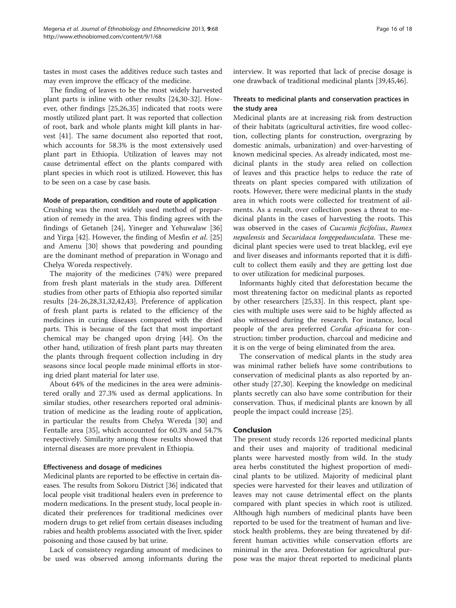tastes in most cases the additives reduce such tastes and may even improve the efficacy of the medicine.

The finding of leaves to be the most widely harvested plant parts is inline with other results [\[24,30-32](#page-16-0)]. However, other findings [\[25,26,35](#page-16-0)] indicated that roots were mostly utilized plant part. It was reported that collection of root, bark and whole plants might kill plants in harvest [\[41\]](#page-17-0). The same document also reported that root, which accounts for 58.3% is the most extensively used plant part in Ethiopia. Utilization of leaves may not cause detrimental effect on the plants compared with plant species in which root is utilized. However, this has to be seen on a case by case basis.

#### Mode of preparation, condition and route of application

Crushing was the most widely used method of preparation of remedy in the area. This finding agrees with the findings of Getaneh [[24](#page-16-0)], Yineger and Yehuwalaw [[36](#page-17-0)] and Yirga [\[42](#page-17-0)]. However, the finding of Mesfin et al. [[25](#page-16-0)] and Amenu [[30\]](#page-16-0) shows that powdering and pounding are the dominant method of preparation in Wonago and Chelya Woreda respectively.

The majority of the medicines (74%) were prepared from fresh plant materials in the study area. Different studies from other parts of Ethiopia also reported similar results [[24](#page-16-0)-[26,28,31,32,](#page-16-0)[42,43\]](#page-17-0). Preference of application of fresh plant parts is related to the efficiency of the medicines in curing diseases compared with the dried parts. This is because of the fact that most important chemical may be changed upon drying [[44\]](#page-17-0). On the other hand, utilization of fresh plant parts may threaten the plants through frequent collection including in dry seasons since local people made minimal efforts in storing dried plant material for later use.

About 64% of the medicines in the area were administered orally and 27.3% used as dermal applications. In similar studies, other researchers reported oral administration of medicine as the leading route of application, in particular the results from Chelya Wereda [[30\]](#page-16-0) and Fentalle area [\[35](#page-16-0)], which accounted for 60.3% and 54.7% respectively. Similarity among those results showed that internal diseases are more prevalent in Ethiopia.

#### Effectiveness and dosage of medicines

Medicinal plants are reported to be effective in certain diseases. The results from Sokoru District [[36](#page-17-0)] indicated that local people visit traditional healers even in preference to modern medications. In the present study, local people indicated their preferences for traditional medicines over modern drugs to get relief from certain diseases including rabies and health problems associated with the liver, spider poisoning and those caused by bat urine.

Lack of consistency regarding amount of medicines to be used was observed among informants during the interview. It was reported that lack of precise dosage is one drawback of traditional medicinal plants [\[39,45,46\]](#page-17-0).

#### Threats to medicinal plants and conservation practices in the study area

Medicinal plants are at increasing risk from destruction of their habitats (agricultural activities, fire wood collection, collecting plants for construction, overgrazing by domestic animals, urbanization) and over-harvesting of known medicinal species. As already indicated, most medicinal plants in the study area relied on collection of leaves and this practice helps to reduce the rate of threats on plant species compared with utilization of roots. However, there were medicinal plants in the study area in which roots were collected for treatment of ailments. As a result, over collection poses a threat to medicinal plants in the cases of harvesting the roots. This was observed in the cases of Cucumis ficifolius, Rumex nepalensis and Securidaca longepedunculata. These medicinal plant species were used to treat blackleg, evil eye and liver diseases and informants reported that it is difficult to collect them easily and they are getting lost due to over utilization for medicinal purposes.

Informants highly cited that deforestation became the most threatening factor on medicinal plants as reported by other researchers [[25](#page-16-0),[33](#page-16-0)]. In this respect, plant species with multiple uses were said to be highly affected as also witnessed during the research. For instance, local people of the area preferred Cordia africana for construction; timber production, charcoal and medicine and it is on the verge of being eliminated from the area.

The conservation of medical plants in the study area was minimal rather beliefs have some contributions to conservation of medicinal plants as also reported by another study [\[27,30\]](#page-16-0). Keeping the knowledge on medicinal plants secretly can also have some contribution for their conservation. Thus, if medicinal plants are known by all people the impact could increase [\[25\]](#page-16-0).

#### Conclusion

The present study records 126 reported medicinal plants and their uses and majority of traditional medicinal plants were harvested mostly from wild. In the study area herbs constituted the highest proportion of medicinal plants to be utilized. Majority of medicinal plant species were harvested for their leaves and utilization of leaves may not cause detrimental effect on the plants compared with plant species in which root is utilized. Although high numbers of medicinal plants have been reported to be used for the treatment of human and livestock health problems, they are being threatened by different human activities while conservation efforts are minimal in the area. Deforestation for agricultural purpose was the major threat reported to medicinal plants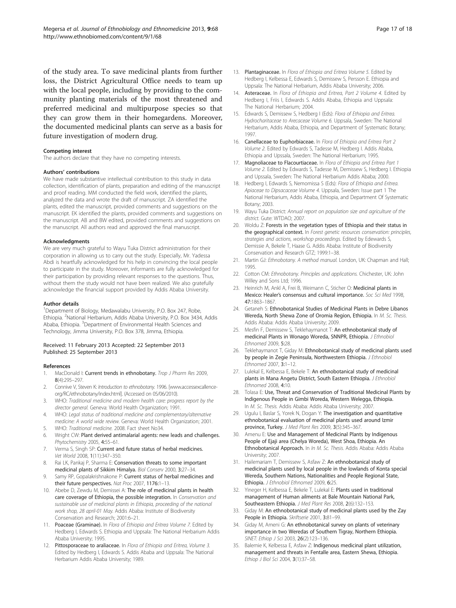<span id="page-16-0"></span>of the study area. To save medicinal plants from further loss, the District Agricultural Office needs to team up with the local people, including by providing to the community planting materials of the most threatened and preferred medicinal and multipurpose species so that they can grow them in their homegardens. Moreover, the documented medicinal plants can serve as a basis for future investigation of modern drug.

#### Competing interest

The authors declare that they have no competing interests.

#### Authors' contributions

We have made substantive intellectual contribution to this study in data collection, identification of plants, preparation and editing of the manuscript and proof reading. MM conducted the field work, identified the plants, analyzed the data and wrote the draft of manuscript. ZA identified the plants, edited the manuscript, provided comments and suggestions on the manuscript. EK identified the plants, provided comments and suggestions on the manuscript. AB and BW edited, provided comments and suggestions on the manuscript. All authors read and approved the final manuscript.

#### Acknowledgments

We are very much grateful to Wayu Tuka District administration for their corporation in allowing us to carry out the study. Especially, Mr. Yadessa Abdi is heartfully acknowledged for his help in convincing the local people to participate in the study. Moreover, informants are fully acknowledged for their participation by providing relevant responses to the questions. Thus, without them the study would not have been realized. We also gratefully acknowledge the financial support provided by Addis Ababa University.

#### Author details

<sup>1</sup>Department of Biology, Medawalabu University, P.O. Box 247, Robe, Ethiopia. <sup>2</sup>National Herbarium, Addis Ababa University, P.O. Box 3434, Addis Ababa, Ethiopia. <sup>3</sup>Department of Environmental Health Sciences and Technology, Jimma University, P.O. Box 378, Jimma, Ethiopia.

#### Received: 11 February 2013 Accepted: 22 September 2013 Published: 25 September 2013

#### References

- 1. MacDonald I: Current trends in ethnobotany. Trop J Pharm Res 2009, 8(4):295–297.
- 2. Connive V, Steven K: Introduction to ethnobotany. 1996. [\[www.accessexcallence](http://www.accessexcallence-org/RC/ethnobotany/index.html)[org/RC/ethnobotany/index.html\]](http://www.accessexcallence-org/RC/ethnobotany/index.html). (Accessed on 05/06/2010).
- WHO: Traditional medicine and modern health care: progress report by the director general. Geneva: World Health Organization; 1991.
- 4. WHO: Legal status of traditional medicine and complementary/alternative medicine: A world wide review. Geneva: World Health Organization; 2001.
- 5. WHO: Traditional medicine. 2008. Fact sheet No34. 6. Wright CW: Plant derived antimalarial agents: new leads and challenges.
- Phytochemistry 2005, 4:55–61. 7. Verma S, Singh SP: Current and future status of herbal medicines. Vet World 2008, 1(11):347–350.
- 8. Rai LK, Pankaj P, Sharma E: Conservation threats to some important medicinal plants of Sikkim Himalya. Biol Conserv 2000, 3:27–34.
- 9. Samy RP, Gopalakrishnakone P: Current status of herbal medicines and their future perspectives. Nat Proc 2007, 1176:1–13.
- 10. Abebe D, Zewdu M, Demissei A: The role of medicinal plants in health care coverage of Ethiopia, the possible integration. In Conservation and sustainable use of medicinal plants in Ethiopia, proceeding of the national work shop, 28 april-01 May. Addis Ababa: Institute of Biodiversity Conservation and Research; 2001:6–21.
- 11. Poaceae (Graminae). In Flora of Ethiopia and Eritrea Volume 7. Edited by Hedberg I, Edwards S. Ethiopia and Uppsala: The National Herbarium Addis Ababa University; 1995.
- 12. Pittosporaceae to araliaceae. In Flora of Ethiopia and Eritrea, Volume 3. Edited by Hedberg I, Edwards S. Addis Ababa and Uppsala: The National Herbarium Addis Ababa University; 1989.
- 13. Plantaginaceae. In Flora of Ethiopia and Eritrea Volume 5. Edited by Hedberg I, Kelbessa E, Edwards S, Demissew S, Persson E. Ethiopia and Uppsala: The National Herbarium, Addis Ababa University; 2006.
- 14. Asteraceae. In Flora of Ethiopia and Eritrea, Part 2 Volume 4. Edited by Hedberg I, Friis I, Edwards S. Addis Ababa, Ethiopia and Uppsala: The National Herbarium; 2004.
- 15. Edwards S, Demissew S, Hedberg I (Eds): Flora of Ethiopia and Eritrea. Hydrocharitaceae to Arecaceae Volume 6. Uppsala, Sweden: The National Herbarium, Addis Ababa, Ethiopia, and Department of Systematic Botany; 1997.
- 16. Canellaceae to Euphorbiaceae. In Flora of Ethiopia and Eritrea Part 2 Volume 2. Edited by Edwards S, Tadesse M, Hedberg I. Addis Ababa, Ethiopia and Upssala, Sweden: The National Herbarium; 1995.
- 17. Magnoliaceae to Flacourtiaceae. In Flora of Ethiopia and Eritrea Part 1 Volume 2. Edited by Edwards S, Tadesse M, Demissew S, Hedberg I. Ethiopia and Upssala, Sweden: The National Herbarium Addis Ababa; 2000.
- 18. Hedberg I, Edwards S, Nemomissa S (Eds): Flora of Ethiopia and Eritrea. Apiaceae to Dipsacaceae Volume 4. Uppsala, Sweden: Issue part 1 The National Herbarium, Addis Ababa, Ethiopia, and Department Of Systematic Botany; 2003.
- 19. Wayu Tuka District: Annual report on population size and agriculture of the district. Gute: WTDAO; 2007.
- 20. Woldu Z: Forests in the vegetation types of Ethiopia and their status in the geographical context. In Forest genetic resources conservation: principles, strategies and actions, workshop proceedings. Edited by Edewards S, Demissie A, Bekele T, Haase G. Addis Ababa: Institute of Biodiversity Conservation and Research GTZ; 1999:1–38.
- 21. Martin GJ: Ethnobotany. A method manual. London, UK: Chapman and Hall; 1995.
- 22. Cotton CM: Ethnobotany. Principles and applications. Chichester, UK: John Willey and Sons Ltd; 1996.
- 23. Heinrich M, Ankl A, Frei B, Weimann C, Sticher O: Medicinal plants in Mexico: Healer's consensus and cultural importance. Soc Sci Med 1998, 47:1863–1867.
- 24. Getaneh S: Ethnobotanical Studies of Medicinal Plants in Debre Libanos Wereda, North Shewa Zone of Oromia Region, Ethiopia. In M. Sc. Thesis. Addis Ababa: Addis Ababa University; 2009.
- 25. Mesfin F, Demissew S, Teklehaymanot T: An ethnobotanical study of medicinal Plants in Wonago Woreda, SNNPR, Ethiopia. J Ethnobiol Ethnomed 2009, 5:28.
- 26. Teklehaymanot T, Giday M: Ethnobotanical study of medicinal plants used by people in Zegie Peninsula, Northwestern Ethiopia. J Ethnobiol Ethnomed 2007, 3:1–12.
- 27. Lulekal E, Kelbessa E, Bekele T: An ethnobotanical study of medicinal plants in Mana Angetu District, South Eastern Ethiopia. J Ethnobiol Ethnomed 2008, 4:10.
- 28. Tolasa E: Use, Threat and Conservation of Traditional Medicinal Plants by Indigenous People in Gimbi Woreda, Western Welegga, Ethiopia. In M. Sc. Thesis. Addis Ababa: Addis Ababa University; 2007.
- 29. Ugulu I, Baslar S, Yorek N, Dogan Y: The investigation and quantitative ethnobotanical evaluation of medicinal plants used around Izmir province, Turkey. J Med Plant Res 2009, 3(5):345–367.
- 30. Amenu E: Use and Management of Medicinal Plants by Indigenous People of Ejaji area (Chelya Woreda), West Shoa, Ethiopia. An Ethnobotanical Approach. In In M. Sc. Thesis. Addis Ababa: Addis Ababa University; 2007.
- 31. Hailemariam T, Demissew S, Asfaw Z: An ethnobotanical study of medicinal plants used by local people in the lowlands of Konta special Wereda, Southern Nations, Nationalities and People Regional State, Ethiopia. J Ethnobiol Ethnomed 2009, 6:25.
- 32. Yineger H, Kelbessa E, Bekele T, Lulekal E: Plants used in traditional management of Human ailments at Bale Mountain National Park, Southeastern Ethiopia. J Med Plant Res 2008, 2(6):132–153.
- 33. Giday M: An ethnobotanical study of medicinal plants used by the Zay People in Ethiopia. Skriftserie 2001, 3:81-99.
- 34. Giday M, Ameni G: An ethnobotanical survey on plants of veterinary importance in two Weredas of Southern Tigray, Northern Ethiopia. SINET: Ethiop J Sci 2003, 26(2):123–136.
- 35. Balemie K, Kelbessa E, Asfaw Z: Indigenous medicinal plant utilization, management and threats in Fentalle area, Eastern Shewa, Ethiopia. Ethiop J Biol Sci 2004, 3(1):37–58.